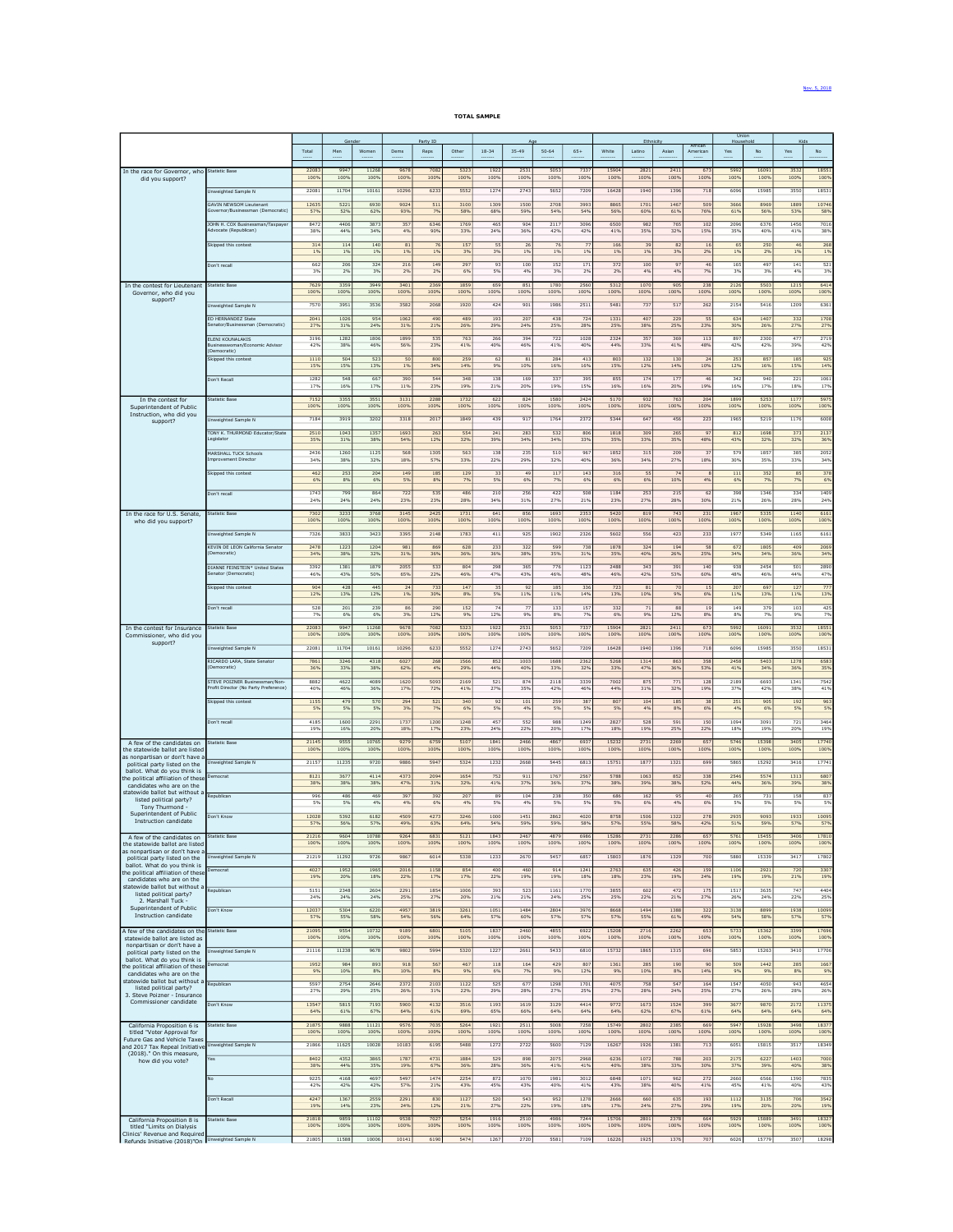## TOTAL SAMPLE

|                                                                    |                                                                         |               | Gender          |               |              | Party ID     |              |              |                |              |                |               | Ethnicity    |                 |                       | <b>Union</b><br>Household |               | Kids           |                |
|--------------------------------------------------------------------|-------------------------------------------------------------------------|---------------|-----------------|---------------|--------------|--------------|--------------|--------------|----------------|--------------|----------------|---------------|--------------|-----------------|-----------------------|---------------------------|---------------|----------------|----------------|
|                                                                    |                                                                         | Total         | Men             | Women         | Dems         | Reps         | Other        | $18 - 34$    | $35 - 49$      | $50 - 64$    | $65+$          | White         | Latino       | Asian           | Africa<br>American    | Yes                       | No            | Yes            | No             |
|                                                                    |                                                                         |               |                 |               |              |              |              |              |                |              |                |               |              |                 |                       |                           |               |                |                |
| In the race for Governor, who                                      | Statistic Base                                                          | 22083<br>1009 | 9947<br>1009    | 11268<br>1009 | 9678<br>100% | 7082<br>100% | 5323<br>100% | 1922<br>100% | 2531<br>100%   | 5053<br>100% | 7337<br>100%   | 1590<br>1009  | 2821<br>100% | 2411<br>1009    | 673<br>100%           | 5992<br>1009              | 1609<br>100%  | 3532<br>1009   | 1855<br>100%   |
| did you support?                                                   |                                                                         |               |                 |               |              |              |              |              |                |              |                |               |              |                 |                       |                           |               |                |                |
|                                                                    | Unweighted Sample N                                                     | 22081         | 11704           | 10161         | 10296        | 6233         | 5552         | 1274         | 2743           | 5652         | 7209           | 16428         | 1940         | 1396            | 718                   | 6096                      | 15985         | 3550           | 1853           |
|                                                                    | <b>GAVIN NEWSOM Lieutenant</b><br>Sovernor/Businessman (Democratic      | 12635<br>57%  | 5221<br>52%     | 6930<br>62%   | 9024<br>93%  | 511<br>7%    | 3100<br>58%  | 1309<br>68%  | 1500<br>59%    | 2708<br>54%  | 3993<br>54%    | 8865<br>56%   | 1701<br>60%  | 1467<br>61%     | 509<br>76%            | 3666<br>619               | 8969<br>56%   | 188<br>539     | 1074<br>58%    |
|                                                                    |                                                                         |               |                 |               |              |              |              |              |                |              |                |               |              |                 |                       |                           |               |                |                |
|                                                                    | JOHN H. COX Businessman/Taxpaye<br>Advocate (Republican)                | 8472<br>38%   | 4406<br>44%     | 3873<br>34%   | 357<br>4%    | 6346<br>90%  | 1769<br>33%  | 465<br>24%   | 904<br>36%     | 2117<br>42%  | 309<br>42%     | 6500<br>41%   | 982<br>35%   | 765<br>32%      | 102<br>15%            | 209<br>35%                | 6376<br>40%   | 145<br>41%     | 701<br>38%     |
|                                                                    | Skipped this contest                                                    |               | 114             | 140           | 81           |              | 157          | 55           | 26             | 76           | 7 <sup>1</sup> |               | 39           | 82              | 16                    | 65                        |               | $\overline{a}$ | 26             |
|                                                                    |                                                                         | 314<br>1%     | 1%              | 1%            | 1%           | 1%           | 3%           | 3%           | 1%             | 1%           | 1%             | 166<br>1%     | 1%           | 3%              | 2%                    | 19                        | 250<br>2%     | 19             | 19             |
|                                                                    | Don't recall                                                            | 662           | 206             | 324           | 216          | 149          | 297          | 93           | 100            | 152          | 171            | 372           | 100          | 97              | 46                    | 165                       | 497           | 141            | 521            |
|                                                                    |                                                                         | 3%            | 2%              | 3%            | 2%           | 2%           | 6%           | 5%           | 4%             | 3%           | 2%             | 2%            | 4%           | 4%              | 7%                    | 39                        | 3%            | 49             | 3%             |
| In the contest for Lieutenant                                      | <b>Statistic Base</b>                                                   | 7629          | 3359            | 3949          | 3401         | 2369         | 1859         | 659          | 851            | 1780         | 2560           | 5312          | 1070         | 905             | 238                   | 2120                      | 5503          | 121            | 6414           |
| Governor, who did you                                              |                                                                         | 100%          | 1009            | 100%          | 100%         | 100%         | 100%         | 100%         | 100%           | 1009         | 100%           | 100%          | 100%         | 100%            | 100%                  | 1009                      | 100%          | 1009           | 100%           |
| support?                                                           | Unweighted Sample N                                                     | 7570          | 3951            | 3536          | 3582         | 2068         | 1920         | 424          | 901            | 1986         | 2511           | 5481          | 737          | 517             | 262                   | 2154                      | 5416          | 1209           | 636            |
|                                                                    | ED HERNANDEZ State                                                      | 2041          | 1026            | 954           | 1062         | 490          | 489          | 193          | 207            | 438          | 724            | 1331          | 407          | 229             | 55                    | 634                       | 1407          | 332            | 170            |
|                                                                    | ienator/Businessman (Democratic)                                        | 27%           | 31%             | 24%           | 31%          | 21%          | 26%          | 29%          | 24%            | 25%          | 28%            | 25%           | 38%          | 25%             | 23%                   | 30%                       | 26%           | 279            | 27%            |
|                                                                    | ELENI KOUNALAKIS                                                        | 3196          | 1282            | 1806          | 1899         | 535          | 763          | 266          | 394            | 722          | 1028           | 232c          | 357          | 369             | 113                   | 89                        | 2300          | 47             | 2719           |
|                                                                    | Businesswoman/Economic Advisor<br>Democratic)                           | 42%           | 38%             | 46%           | 56%          | 23%          | 41%          | 40%          | 46%            | 41%          | 40%            | 44%           | 33%          | 41%             | 48%                   | 429                       | 42%           | 39%            | 42%            |
|                                                                    | Skipped this contest                                                    | 1110          | 504             | 523           | 50           | 800          | 259          | 62           | R1             | 284          | 413            | 803           | 132          | 130             | 24                    | 253                       | 857           | 185            | 92!            |
|                                                                    |                                                                         | 15%           | 15%             | 13%           | 1%           | 34%          | 14%          | 9%           | 10%            | 16%          | 16%            | 15%           | 12%          | 14%             | 10%                   | 129                       | 16%           | 15%            | 14%            |
|                                                                    | Don't Recall                                                            | 1282<br>17%   | 548<br>16%      | 667<br>17%    | 390<br>11%   | 544<br>23%   | 348<br>19%   | 138<br>21%   | 169<br>20%     | 337<br>19%   | 395<br>15%     | 855<br>16%    | 174<br>16%   | 177<br>20%      | 46<br>19%             | 342<br>169                | 940<br>17%    | 221<br>189     | 106<br>17%     |
|                                                                    |                                                                         |               |                 |               |              |              |              |              |                |              |                |               |              |                 |                       |                           |               |                |                |
| In the contest for<br>Superintendent of Public                     | <b>Itatistic Base</b>                                                   | 7152<br>1009  | 3355<br>1009    | 3551<br>100%  | 3131<br>1009 | 2288<br>1009 | 1732<br>100% | 622<br>100%  | 824<br>100%    | 1580<br>100% | 2424<br>100%   | 5170<br>1009  | 932<br>100%  | 763<br>100%     | 204<br>100%           | 1899<br>1009              | 5253<br>100%  | 117<br>100     | 597<br>100%    |
| Instruction, who did you                                           |                                                                         | 7184          | 3919            | 3202          | 3318         | 2017         | 1849         | 439          | 917            | 1764         | 2372           | 5344          | 647          | 456             | 223                   | 1965                      | 5219          | 1176           | 6008           |
| support?                                                           | Unweighted Sample N                                                     |               |                 |               |              |              |              |              |                |              |                |               |              |                 |                       |                           |               |                |                |
|                                                                    | TONY K. THURMOND Educator/State<br>.egislator                           | 2510<br>35%   | 1043<br>31%     | 1357<br>38%   | 1693<br>54%  | 263<br>12%   | 554<br>32%   | 241<br>39%   | 283<br>34%     | 532<br>34%   | 806<br>33%     | 1818<br>35%   | 309<br>33%   | 265<br>35%      | 9 <sub>1</sub><br>48% | 81<br>439                 | 1698<br>32%   | 37.<br>329     | 213<br>36%     |
|                                                                    |                                                                         |               |                 |               |              |              |              |              |                |              |                |               |              |                 |                       |                           |               |                |                |
|                                                                    | MARSHALL TUCK Schools<br>mprovement Director                            | 2436<br>34%   | 1260<br>389     | 1125<br>32%   | 569<br>18%   | 1305<br>57%  | 563<br>33%   | 138<br>22%   | 235<br>29%     | 510<br>32%   | 967<br>40%     | 1852<br>36%   | 315<br>34%   | 209<br>27%      | 3 <sub>1</sub><br>18% | 579<br>309                | 1857<br>35%   | 385<br>33%     | 205<br>34%     |
|                                                                    |                                                                         | 462           | 253             | 204           | 149          | 185          | 129          | 33           | 4 <sup>°</sup> | 117          | 143            | 316           | 55           | $\overline{74}$ | $\mathbf{a}$          | 111                       | 352           | 85             | 375            |
|                                                                    | Skipped this contest                                                    | 6%            | 8%              | 6%            | 5%           | 8%           | 7%           | 5%           | 6%             | 7%           | 6%             | 6%            | 6%           | 10%             | 4%                    | 69                        | 79            | 79             | 6%             |
|                                                                    | Don't recall                                                            | 1743          | 799             | 864           | 722          | 535          | 486          | 210          | 256            | 422          | 508            | 1184          | 253          | 215             | 62                    | 398                       | 1346          | 334            | 1409           |
|                                                                    |                                                                         | 24%           | 24%             | 24%           | 23%          | 23%          | 28%          | 34%          | 31%            | 27%          | 21%            | 23%           | 27%          | 28%             | 30%                   | 21%                       | 26%           | 28%            | 24%            |
| In the race for U.S. Senate,                                       | <b>Statistic Base</b>                                                   | 7302          | 3233            | 3768          | 3145         | 2425         | 1731         | 641          | 856            | 1693         | 2353           | 5420          | 819          | 743             | 231                   | 1967                      | 5335          | 114            | 616            |
| who did you support?                                               |                                                                         | 100%          | 1009            | 1009          | 1009         | 100%         | 100%         | 100%         | 100%           | 1009         | 100%           | 100%          | 100%         | 100%            | 100%                  | 1009                      | 100%          | 1009           | 100%           |
|                                                                    | Unweighted Sample N                                                     | 7326          | 3833            | 3423          | 3395         | 2148         | 1783         | 411          | 925            | 1902         | 2326           | 5602          | 556          | 423             | 233                   | 1977                      | 5349          | 1165           | 616            |
|                                                                    | KEVIN DE LEON California Senator                                        | 2478          | 1223            | 1204          | 981          | 869          | 628          | 233          | 322            | 599          | 738            | 1878          | 324          | 194             | 58                    | 67                        | 1805          | 409            | 2069           |
|                                                                    | ocratic)                                                                | 34%           | 38%             | 32%           | 31%          | 36%          | 36%          | 36%          | 38%            | 35%          | 31%            | 35%           | 40%          | 26%             | 25%                   | 349                       | 34%           | 369            | 34%            |
|                                                                    | DIANNE FEINSTEIN* United States                                         | 3392          | 1381            | 1879          | 2055         | 533          | 804          | 298          | 365            | 776          | 1123           | 2488          | 343          | 391             | 140                   | 938                       | 245           | 50             | 2890           |
|                                                                    | Senator (Democratic)                                                    | 469           | 43%             | 50%           | 65%          | 22%          | 46%          | 47%          | 43%            | 46%          | 48%            | 46%           | 42%          | 53%             | 60%                   | 48%                       | 46%           | 449            | 47%            |
|                                                                    | Skipped this contest                                                    | 904           | 428             | 445           | $^{24}$      | 733          | 147          | 35           | 92             | 185          | 336            | 723           | 81           | 70              | 15                    | 207                       | 697           | 127            | 77.            |
|                                                                    |                                                                         | 12%           | 13%             | 12%           | 1%           | 30%          | 8%           | 5%           | 11%            | 11%          | 14%            | 13%           | 10%          | 9%              | 6%                    | 119                       | 13%           | 11%            | 13%            |
|                                                                    | Don't recall                                                            | 528<br>7%     | 201<br>6%       | 239<br>6%     | 86<br>3%     | 290<br>12%   | 152<br>9%    | 74<br>12%    | 77<br>9%       | 133<br>8%    | 157<br>7%      | 332<br>6%     | 71<br>9%     | 88<br>12%       | 19<br>8%              | 149<br>8%                 | 379<br>7%     | 103<br>99      | 425<br>7%      |
|                                                                    |                                                                         |               |                 |               |              |              |              |              |                |              |                |               |              |                 |                       |                           |               |                |                |
| In the contest for Insurance<br>Commissioner, who did you          | <b>Itatistic Base</b>                                                   | 22083<br>1009 | 9947<br>100%    | 11268<br>100% | 9678<br>100% | 7082<br>100% | 5323<br>100% | 1922<br>100% | 253<br>100%    | 505<br>1009  | 733<br>100%    | 1590<br>1009  | 2821<br>100% | 241<br>100%     | 673<br>100%           | 599<br>1009               | 1609<br>100%  | 353<br>1009    | 1855<br>100%   |
| support?                                                           |                                                                         |               |                 |               |              |              |              |              |                | 5652         |                |               | 1940         |                 |                       |                           |               |                |                |
|                                                                    | Unweighted Sample N                                                     | 22081         | 11704           | 10161         | 10296        | 6233         | 5552         | 1274         | 2743           |              | 7209           | 16428         |              | 1396            | 718                   | 6096                      | 15985         | 3550           | 1853           |
|                                                                    | RICARDO LARA, State Senator                                             | 7861<br>36%   | 324<br>33%      | 4318<br>38%   | 6027<br>62%  | 268<br>4%    | 1566<br>29%  | 852<br>44%   | 1003<br>40%    | 1688<br>33%  | 2362<br>32%    | 5268<br>33%   | 1314<br>47%  | 863<br>36%      | 358<br>53%            | 2451<br>41%               | 5403<br>34%   | 1278<br>369    | 658<br>35%     |
|                                                                    |                                                                         |               |                 |               |              |              |              |              |                |              |                |               |              |                 |                       |                           |               |                |                |
|                                                                    | STEVE POIZNER Businessman/Non-<br>Profit Director (No Party Preference) | 8882<br>409   | 4622<br>46%     | 4089<br>36%   | 1620<br>17%  | 5093<br>72%  | 2169<br>41%  | 521<br>27%   | 874<br>35%     | 2118<br>42%  | 3339<br>46%    | 7002<br>44%   | 875<br>31%   | 771<br>32%      | 128<br>19%            | 218<br>379                | 6693<br>42%   | 1341<br>389    | 754<br>41%     |
|                                                                    |                                                                         | 1155          | 479             | 570           | 294          | 521          | 340          | 92           | 101            | 259          | 387            | 807           | 104          | 185             | 38                    | 251                       | 905           | 192            | 963            |
|                                                                    | Skipped this contest                                                    | 5%            | 5%              | 5%            | 3%           | 7%           | 6%           | 5%           | 4%             | 5%           | 5%             | 5%            | 4%           | 8%              | 6%                    | 49                        | 6%            | 59             | 5%             |
|                                                                    | Don't recall                                                            | 4185          | 1600            | 2291          | 1737         | 1200         | 1248         | 457          | 552            | 988          | 1249           | 2827          | 528          | 591             | 150                   | 1094                      | 3091          | 721            | 3464           |
|                                                                    |                                                                         | 19%           | 16%             | 20%           | 18%          | 17%          | 23%          | 24%          | 22%            | 20%          | 17%            | 18%           | 19%          | 25%             | 22%                   | 18%                       | 19%           | 20%            | 19%            |
| A few of the candidates on                                         | Statistic Base                                                          | 21145         | 9555            | 10765         | 9275         | 6759         | 5107         | 1841         | 2466           | 4867         | 6937           | 15232         | 2731         | 2269            | 657                   | 5746                      | 15398         | 340            | 1774           |
| the statewide ballot are listed                                    |                                                                         | 1009          | 1009            | 1009          | 1009         | 100%         | 100%         | 100%         | 100%           | 1009         | 100%           | 1009          | 100%         | 1009            | 100%                  | 1009                      | 100%          | 1009           | 100%           |
| as nonpartisan or don't have a<br>political party listed on the    | Unweighted Sample N                                                     | 21157         | 11235           | 9720          | 9886         | 5947         | 5324         | 1232         | 2668           | 5445         | 6813           | 15751         | 1877         | 1321            | 699                   | 5865                      | 15292         | 3410           | 1774           |
| ballot. What do you think is                                       | <b>Democrat</b>                                                         | 8121          | 367             | 4114          | 4373         | 2094         | 1654         | 752          | 91.            | 1767         | 2567           | 5788          | 1063         | 852             | 338                   | 254                       | 5574          | 131            | 680            |
| the political affiliation of these<br>candidates who are on the    |                                                                         | 38%           | 38%             | 38%           | 47%          | 31%          | 32%          | 41%          | 37%            | 36%          | 37%            | 38%           | 39%          | 38%             | 52%                   | 449                       | 36%           | 399            | 38%            |
| statewide ballot but without a                                     | tepublican                                                              | 996           | 48              | 469           | 397          | 392          | 207          | 8S           | 104            | 238          | 35             | 686           | 162          | 9 <sup>5</sup>  | 4(                    | 26                        | 731           | 15             | 83             |
| listed political party?<br>Tony Thurmond -                         |                                                                         | 5%            | 5%              | 4%            | 4%           | 6%           | 4%           | 5%           | 4%             | 5%           | 5%             | 5%            | 6%           | 4%              | 6%                    | 5%                        | 5%            | 5%             | 5%             |
| Superintendent of Public<br>Instruction candidate                  | Don't Know                                                              | 12028         | 5392            | 6182          | 4509         | 4273         | 3246         | 1000         | 1451           | 2862         | 4020           | 8758          | 1506         | 1322            | 278                   | 2935                      | 9093          | 1933           | 1009           |
|                                                                    |                                                                         | 57%           | 56%             | 57%           | 49%          | 63%          | 64%          | 54%          | 59%            | 59%          | 58%            | 57%           | 55%          | 58%             | 42%                   | 519                       | 59%           | 57%            | 57%            |
| A few of the candidates on                                         | <b>Statistic Base</b>                                                   | 21216<br>100% | 9604<br>100%    | 10788<br>100% | 9264<br>100% | 6831<br>100% | 5121<br>100% | 1843<br>100% | 2467<br>100%   | 4879<br>100% | 6986<br>100%   | 15286<br>100% | 2731<br>100% | 2286<br>100%    | 657<br>100%           | 576<br>1009               | 15455<br>100% | 3406<br>1009   | 1781<br>100%   |
| the statewide ballot are listed<br>as nonpartisan or don't have a  |                                                                         |               |                 |               |              |              |              |              |                |              |                |               |              |                 |                       |                           |               |                |                |
| political party listed on the<br>ballot. What do you think is      | Inweighted Sample N                                                     | 21219         | 11292           | 9726          | 9867         | 6014         | 5338         | 1233         | 2670           | 5457         | 6857           | 15803         | 1876         | 1329            | 700                   | 588                       | 15339         | 3417           | 17802          |
| the political affiliation of these                                 | democrat                                                                | 4027<br>19%   | 1952<br>20%     | 1965<br>18%   | 2016<br>22%  | 1158<br>17%  | 854<br>17%   | 400<br>22%   | 460<br>19%     | 914<br>19%   | 1241<br>18%    | 2763<br>18%   | 635<br>23%   | 426<br>19%      | 159<br>24%            | 1106<br>199               | 292:<br>19%   | 720<br>21%     | 330<br>19%     |
| candidates who are on the<br>statewide ballot but without a        |                                                                         |               |                 |               |              |              |              |              |                |              |                |               |              |                 |                       |                           |               |                |                |
| listed political party?                                            | Republican                                                              | 5151<br>24%   | 2348<br>24%     | 2604<br>24%   | 2291<br>25%  | 1854<br>27%  | 1006<br>20%  | 393<br>21%   | 523<br>21%     | 1161<br>24%  | 1770<br>25%    | 3855<br>25%   | 602<br>22%   | 472<br>21%      | 175<br>27%            | 1517<br>26%               | 3635<br>24%   | 747<br>22%     | 440<br>25%     |
| 2. Marshall Tuck -<br>Superintendent of Public                     |                                                                         |               |                 |               |              |              |              |              |                |              |                |               |              |                 |                       |                           |               |                |                |
| Instruction candidate                                              | Don't Know                                                              | 12037<br>579  | 5304<br>55%     | 6220<br>58%   | 4957<br>54%  | 3819<br>56%  | 3261<br>64%  | 1051<br>57%  | 1484<br>60%    | 2804<br>57%  | 3976<br>57%    | 8668<br>57%   | 1494<br>55%  | 1388<br>61%     | 322<br>49%            | 3138<br>549               | 8899<br>58%   | 193<br>579     | 1009<br>57%    |
| A few of the candidates on the Statistic Base                      |                                                                         | 21095         | 9554            | 10732         | 9189         | 6801         | 5105         | 1837         | 2460           | 4855         | 6922           | 15208         | 2716         | 2262            | 653                   | 5733                      | 15362         | 3399           | 1769           |
| statewide ballot are listed as                                     |                                                                         | 100%          | 100%            | 100%          | 100%         | 100%         | 100%         | 100%         | 100%           | 100%         | 100%           | 100%          | 100%         | 100%            | 100%                  | 1009                      | 100%          | 1009           | 100%           |
| nonpartisan or don't have a<br>political party listed on the       | <b>Jnweighted Sample N</b>                                              | 21116         | 11238           | 9678          | 9802         | 5994         | 5320         | 1227         | 2661           | 5433         | 6810           | 15732         | 1865         | 1315            | 696                   | 5853                      | 15263         | 3410           | 1770           |
| ballot. What do you think is                                       |                                                                         | 1952          | 98 <sub>4</sub> | 893           | 918          | 567          | 467          | 118          | 164            | 429          | 80             | 1361          | 285          | 190             | 90                    | 509                       | 144           | 28             | 166            |
| the political affiliation of these<br>candidates who are on the    | emocrat                                                                 | 9%            | 10%             | 8%            | 10%          | 8%           | 9%           | 6%           | 7%             | 9%           | 12%            | 9%            | 10%          | 8%              | 14%                   | 9%                        | 9%            | 8%             | 9 <sup>0</sup> |
| statewide ballot but without a                                     | Republican                                                              | 5597          | 2754            | 2646          | 2372         | 2103         | 1122         | 525          | 677            | 1298         | 1701           | 4075          | 758          | 547             | 164                   | 1547                      | 4050          | 943            | 465            |
| listed nolitical narty?<br>3. Steve Poizner - Insurance            |                                                                         | 27%           | 29%             | 25%           | 26%          | 31%          | 22%          | 29%          | 28%            | 27%          | 25%            | 27%           | 28%          | 24%             | 25%                   | 27%                       | 26%           | 28%            | 26%            |
| Commissioner candidate                                             | Don't Know                                                              | 13547         | 5815            | 7193          | 5900         | 4132         | 3516         | 1193         | 1619           | 3129         | 4414           | 9772          | 1673         | 1524            | 399                   | 367                       | 9870          | 2172           | 1137           |
|                                                                    |                                                                         | 64%           | 61%             | 67%           | 64%          | 61%          | 69%          | 65%          | 66%            | 64%          | 64%            | 64%           | 62%          | 67%             | 61%                   | 649                       | 64%           | 649            | 64%            |
| California Proposition 6 is                                        | Itatistic Base                                                          | 21875         | 9888            | 11121         | 9576         | 7035         | 5264         | 1921         | 2511           | 5008         | 7258           | 15749         | 2802         | 2385            | 669                   | 5947                      | 15928         | 349            | 1837           |
| titled "Voter Approval for                                         |                                                                         | 1009          | 1009            | 100%          | 100%         | 100%         | 100%         | 100%         | 100%           | 100%         | 100%           | 1009          | 100%         | 100%            | 100%                  | 1009                      | 100%          | 1009           | 100%           |
| Future Gas and Vehicle Taxes<br>and 2017 Tax Repeal Initiative     | Unweighted Sample N                                                     | 21866         | 11625           | 10028         | 10183        | 6195         | 5488         | 1272         | 2722           | 5600         | 7129           | 16267         | 1926         | 1381            | 713                   | 6051                      | 15815         | 3517           | 18349          |
| (2018)." On this measure,                                          | fes.                                                                    | 8402          | 4352            | 3865          | 1787         | 4731         | 1884         | 529          | 898            | 2075         | 2968           | 6236          | 1072         | 788             | 203                   | 2175                      | 6227          | 1403           | 7001           |
| how did you vote?                                                  |                                                                         | 38%           | 44%             | 35%           | 19%          | 67%          | 36%          | 28%          | 36%            | 41%          | 41%            | 40%           | 38%          | 33%             | 30%                   | 379                       | 39%           | 40%            | 38%            |
|                                                                    | No                                                                      | 9225          | 4168            | 4697          | 5497         | 1474         | 2254         | 872          | 1070           | 1981         | 3012           | 6848          | 1071         | 962             | 272                   | 2660                      | 6566          | 139            | 783            |
|                                                                    |                                                                         | 42%           | 42%             | 42%           | 57%          | 21%          | 43%          | 45%          | 43%            | 40%          | 41%            | 43%           | 38%          | 40%             | 41%                   | 45%                       | 41%           | 40%            | 43%            |
|                                                                    | Don't Recall                                                            | 4247          | 1367            | 2559          | 2291         | 830          | 1127         | 520          | 543            | 952          | 1278           | 2666          | 660          | 635             | 193                   | 1112                      | 3135          | 706            | 354            |
|                                                                    |                                                                         | 199           | 14%             | 23%           | 24%          | 12%          | 21%          | 27%          | 22%            | 19%          | 18%            | 17%           | 24%          | 27%             | 29%                   | 199                       | 20%           | 209            | 19%            |
| California Proposition 8 is                                        | <b>Statistic Base</b>                                                   | 21818         | 9859            | 11102         | 9538         | 7027         | 5254         | 1916         | 2510           | 4986         | 7244           | 15706         | 2801         | 2378            | 664                   | 5929                      | 15889         | 3491           | 18327          |
| titled "Limits on Dialysis<br><b>Clinics' Revenue and Required</b> |                                                                         | 100%          | 100%            | 100%          | 100%         | 100%         | 100%         | 100%         | 100%           | 100%         | 100%           | 100%          | 100%         | 100%            | 100%                  | 1009                      | 100%          | 1009           | 100%           |
| Refunds Initiative (2018)"On Unweighted Sample N                   |                                                                         | 21805         | 11588           | 10006         | 10141        | 6190         | 5474         | 1267         | 2720           | 5581         | 7109           | 16226         | 1925         | 1376            | 707                   | 6026                      | 15779         | 3507           | 18298          |